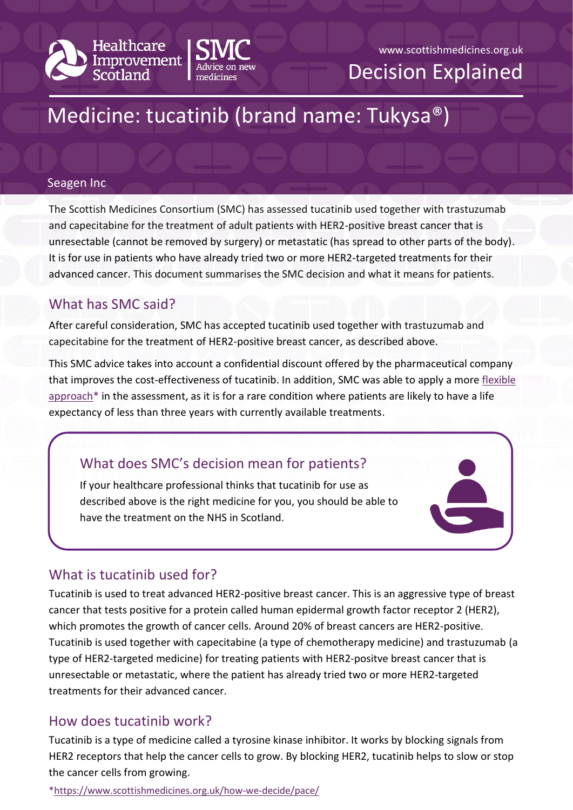



www.scottishmedicines.org.uk Decision Explained

# Medicine: tucatinib (brand name: Tukysa®)

#### Seagen Inc

The Scottish Medicines Consortium (SMC) has assessed tucatinib used together with trastuzumab and capecitabine for the treatment of adult patients with HER2-positive breast cancer that is unresectable (cannot be removed by surgery) or metastatic (has spread to other parts of the body). It is for use in patients who have already tried two or more HER2-targeted treatments for their advanced cancer. This document summarises the SMC decision and what it means for patients.

## What has SMC said?

After careful consideration, SMC has accepted tucatinib used together with trastuzumab and capecitabine for the treatment of HER2-positive breast cancer, as described above.

This SMC advice takes into account a confidential discount offered by the pharmaceutical company that improves the cost-effectiveness of tucatinib. In addition, SMC was able to apply a more [flexible](https://www.scottishmedicines.org.uk/how-we-decide/pace/)  [approach\\*](https://www.scottishmedicines.org.uk/how-we-decide/pace/) in the assessment, as it is for a rare condition where patients are likely to have a life expectancy of less than three years with currently available treatments.

# What does SMC's decision mean for patients?

If your healthcare professional thinks that tucatinib for use as described above is the right medicine for you, you should be able to have the treatment on the NHS in Scotland.

# What is tucatinib used for?

Tucatinib is used to treat advanced HER2-positive breast cancer. This is an aggressive type of breast cancer that tests positive for a protein called human epidermal growth factor receptor 2 (HER2), which promotes the growth of cancer cells. Around 20% of breast cancers are HER2-positive. Tucatinib is used together with capecitabine (a type of chemotherapy medicine) and trastuzumab (a type of HER2-targeted medicine) for treating patients with HER2-positve breast cancer that is unresectable or metastatic, where the patient has already tried two or more HER2-targeted treatments for their advanced cancer.

## How does tucatinib work?

Tucatinib is a type of medicine called a tyrosine kinase inhibitor. It works by blocking signals from HER2 receptors that help the cancer cells to grow. By blocking HER2, tucatinib helps to slow or stop the cancer cells from growing.

[\\*https://www.scottishmedicines.org.uk/how-we-decide/pace/](https://www.scottishmedicines.org.uk/how-we-decide/pace/)